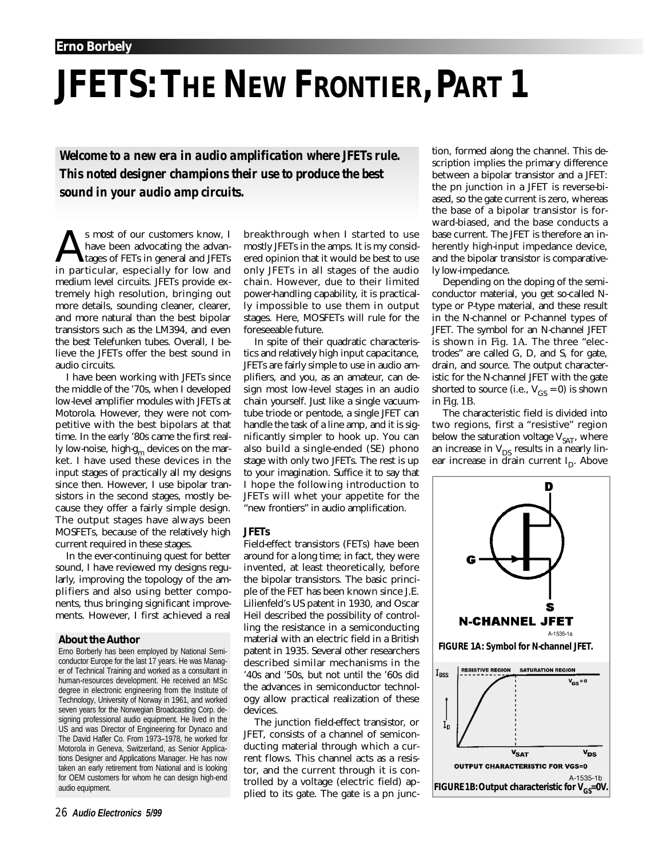# **JFETS: THE NEW FRONTIER, PART 1**

*Welcome to a new era in audio amplification where JFETs rule. This noted designer champions their use to produce the best sound in your audio amp circuits.*

S most of our customers know, I<br>have been advocating the advan-<br>tages of FETs in general and JFETs<br>in particular especially for low and have been advocating the advantages of FETs in general and JFETs in particular, especially for low and medium level circuits. JFETs provide extremely high resolution, bringing out more details, sounding cleaner, clearer, and more natural than the best bipolar transistors such as the LM394, and even the best Telefunken tubes. Overall, I believe the JFETs offer the best sound in audio circuits.

I have been working with JFETs since the middle of the '70s, when I developed low-level amplifier modules with JFETs at Motorola. However, they were not competitive with the best bipolars at that time. In the early '80s came the first really low-noise, high- $g<sub>m</sub>$  devices on the market. I have used these devices in the input stages of practically all my designs since then. However, I use bipolar transistors in the second stages, mostly because they offer a fairly simple design. The output stages have always been MOSFETs, because of the relatively high current required in these stages.

In the ever-continuing quest for better sound, I have reviewed my designs regularly, improving the topology of the amplifiers and also using better components, thus bringing significant improvements. However, I first achieved a real

Erno Borberly has been employed by National Semiconductor Europe for the last 17 years. He was Manager of Technical Training and worked as a consultant in human-resources development. He received an MSc degree in electronic engineering from the Institute of Technology, University of Norway in 1961, and worked seven years for the Norwegian Broadcasting Corp. designing professional audio equipment. He lived in the US and was Director of Engineering for Dynaco and The David Hafler Co. From 1973–1978, he worked for Motorola in Geneva, Switzerland, as Senior Applications Designer and Applications Manager. He has now taken an early retirement from National and is looking for OEM customers for whom he can design high-end

breakthrough when I started to use mostly JFETs in the amps. It is my considered opinion that it would be best to use only JFETs in all stages of the audio chain. However, due to their limited power-handling capability, it is practically impossible to use them in output stages. Here, MOSFETs will rule for the foreseeable future.

In spite of their quadratic characteristics and relatively high input capacitance, JFETs are fairly simple to use in audio amplifiers, and you, as an amateur, can design most low-level stages in an audio chain yourself. Just like a single vacuumtube triode or pentode, a single JFET can handle the task of a line amp, and it is significantly simpler to hook up. You can also build a single-ended (SE) phono stage with only two JFETs. The rest is up to your imagination. Suffice it to say that I hope the following introduction to JFETs will whet your appetite for the "new frontiers" in audio amplification.

## *JFETs*

Field-effect transistors (FETs) have been around for a long time; in fact, they were invented, at least theoretically, before the bipolar transistors. The basic principle of the FET has been known since J.E. Lilienfeld's US patent in 1930, and Oscar Heil described the possibility of controlling the resistance in a semiconducting material with an electric field in a British patent in 1935. Several other researchers described similar mechanisms in the '40s and '50s, but not until the '60s did the advances in semiconductor technology allow practical realization of these devices. **About the Author**<br>FIGURE 1A: Symbol for N-channel JFET.

The junction field-effect transistor, or JFET, consists of a channel of semiconducting material through which a current flows. This channel acts as a resistor, and the current through it is controlled by a voltage (electric field) applied to its gate. The gate is a pn juncaudio equipment.

tion, formed along the channel. This description implies the primary difference between a bipolar transistor and a JFET: the pn junction in a JFET is reverse-biased, so the gate current is zero, whereas the base of a bipolar transistor is forward-biased, and the base conducts a base current. The JFET is therefore an inherently high-input impedance device, and the bipolar transistor is comparatively low-impedance.

Depending on the doping of the semiconductor material, you get so-called Ntype or P-type material, and these result in the N-channel or P-channel types of JFET. The symbol for an N-channel JFET is shown in *Fig. 1A*. The three "electrodes" are called G, D, and S, for gate, drain, and source. The output characteristic for the N-channel JFET with the gate shorted to source (i.e.,  $V_{GS} = 0$ ) is shown in *Fig. 1B*.

The characteristic field is divided into two regions, first a "resistive" region below the saturation voltage  $V_{SAT}$ , where an increase in  $V_{DS}$  results in a nearly linear increase in drain current  $I_{D}$ . Above

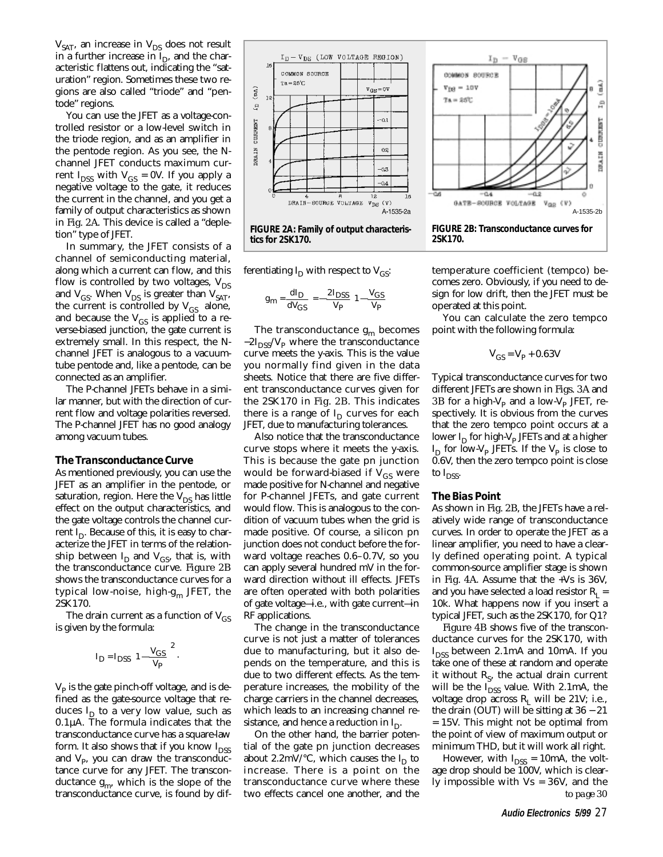$V_{SAT}$ , an increase in  $V_{DS}$  does not result in a further increase in  $I_{D}$ , and the characteristic flattens out, indicating the "saturation" region. Sometimes these two regions are also called "triode" and "pentode" regions.

You can use the JFET as a voltage-controlled resistor or a low-level switch in the triode region, and as an amplifier in the pentode region. As you see, the Nchannel JFET conducts maximum current  $I_{DSS}$  with  $V_{GS} = 0V$ . If you apply a negative voltage to the gate, it reduces the current in the channel, and you get a family of output characteristics as shown in *Fig. 2A*. This device is called a "depletion" type of JFET.

In summary, the JFET consists of a channel of semiconducting material, along which a current can flow, and this flow is controlled by two voltages,  $V_{DS}$ and  $V_{GS}$ . When  $V_{DS}$  is greater than  $V_{SAT}$ , the current is controlled by  $V_{GS}$  alone, and because the  $V_{GS}$  is applied to a reverse-biased junction, the gate current is extremely small. In this respect, the Nchannel JFET is analogous to a vacuumtube pentode and, like a pentode, can be connected as an amplifier.

The P-channel JFETs behave in a similar manner, but with the direction of current flow and voltage polarities reversed. The P-channel JFET has no good analogy among vacuum tubes.

#### *The Transconductance Curve*

As mentioned previously, you can use the JFET as an amplifier in the pentode, or saturation, region. Here the  $V_{DS}$  has little effect on the output characteristics, and the gate voltage controls the channel current  $I_D$ . Because of this, it is easy to characterize the JFET in terms of the relationship between  $I_D$  and  $V_{GS}$ , that is, with the transconductance curve. *Figure 2B* shows the transconductance curves for a typical low-noise, high- $g_m$  JFET, the 2SK170.

The drain current as a function of  $V_{GS}$ is given by the formula:

$$
I_D = I_{DSS} \left[ 1 - \frac{V_{GS}}{V_P} \right]^2.
$$

 $V<sub>p</sub>$  is the gate pinch-off voltage, and is defined as the gate-source voltage that reduces  $I_D$  to a very low value, such as 0.1µA. The formula indicates that the transconductance curve has a square-law form. It also shows that if you know  $I_{DSS}$ and  $V_{\rm p}$ , you can draw the transconductance curve for any JFET. The transconductance  $g_{m'}$ , which is the slope of the transconductance curve, is found by dif-



**FIGURE 2A: Family of output characteristics for 2SK170.**

ferentiating  $I_D$  with respect to  $V_{GS}$ :

$$
g_{\text{m}} = \frac{dI_{\text{D}}}{dV_{\text{GS}}} = -\frac{2I_{\text{DSS}}}{V_{\text{P}}} \left[ 1 - \frac{V_{\text{GS}}}{V_{\text{P}}} \right]
$$

The transconductance  $g_m$  becomes  $-2I<sub>DSC</sub>/V<sub>D</sub>$  where the transconductance curve meets the y-axis. This is the value you normally find given in the data sheets. Notice that there are five different transconductance curves given for the 2SK170 in *Fig. 2B*. This indicates there is a range of  $I_D$  curves for each JFET, due to manufacturing tolerances.

Also notice that the transconductance curve stops where it meets the y-axis. This is because the gate pn junction would be forward-biased if  $V_{GS}$  were made positive for N-channel and negative for P-channel JFETs, and gate current would flow. This is analogous to the condition of vacuum tubes when the grid is made positive. Of course, a silicon pn junction does not conduct before the forward voltage reaches 0.6–0.7V, so you can apply several hundred mV in the forward direction without ill effects. JFETs are often operated with both polarities of gate voltage—i.e., with gate current—in RF applications.

The change in the transconductance curve is not just a matter of tolerances due to manufacturing, but it also depends on the temperature, and this is due to two different effects. As the temperature increases, the mobility of the charge carriers in the channel decreases, which leads to an increasing channel resistance, and hence a reduction in  $I_D$ .

On the other hand, the barrier potential of the gate pn junction decreases about 2.2mV/ $\degree$ C, which causes the I<sub>D</sub> to increase. There is a point on the transconductance curve where these two effects cancel one another, and the



**FIGURE 2B: Transconductance curves for 2SK170.**

temperature coefficient (tempco) becomes zero. Obviously, if you need to design for low drift, then the JFET must be operated at this point.

You can calculate the zero tempco point with the following formula:

$$
V_{GS} = V_{P} + 0.63V
$$

Typical transconductance curves for two different JFETs are shown in *Figs. 3A* and 3B for a high-V<sub>p</sub> and a low-V<sub>p</sub> JFET, respectively. It is obvious from the curves that the zero tempco point occurs at a lower  $I_D$  for high-V<sub>P</sub> JFETs and at a higher  $I_{\text{D}}$  for low-V<sub>P</sub> JFETs. If the V<sub>P</sub> is close to 0.6V, then the zero tempco point is close to  $I_{DSS}$ .

#### *The Bias Point*

As shown in *Fig. 2B*, the JFETs have a relatively wide range of transconductance curves. In order to operate the JFET as a linear amplifier, you need to have a clearly defined operating point. A typical common-source amplifier stage is shown in *Fig. 4A*. Assume that the +Vs is 36V, and you have selected a load resistor  $R_1 =$ 10k. What happens now if you insert a typical JFET, such as the 2SK170, for Q1?

*Figure 4B* shows five of the transconductance curves for the 2SK170, with I<sub>DSS</sub> between 2.1mA and 10mA. If you take one of these at random and operate it without  $R_{S}$ , the actual drain current will be the  $I_{DSS}$  value. With 2.1mA, the voltage drop across  $R_1$ , will be 21V; i.e., the drain (OUT) will be sitting at  $36 - 21$ = 15V. This might not be optimal from the point of view of maximum output or minimum THD, but it will work all right.

However, with  $I_{DSS} = 10 \text{mA}$ , the voltage drop should be 100V, which is clear-Iy impossible with  $Vs = 36V$ , and the *to page 30*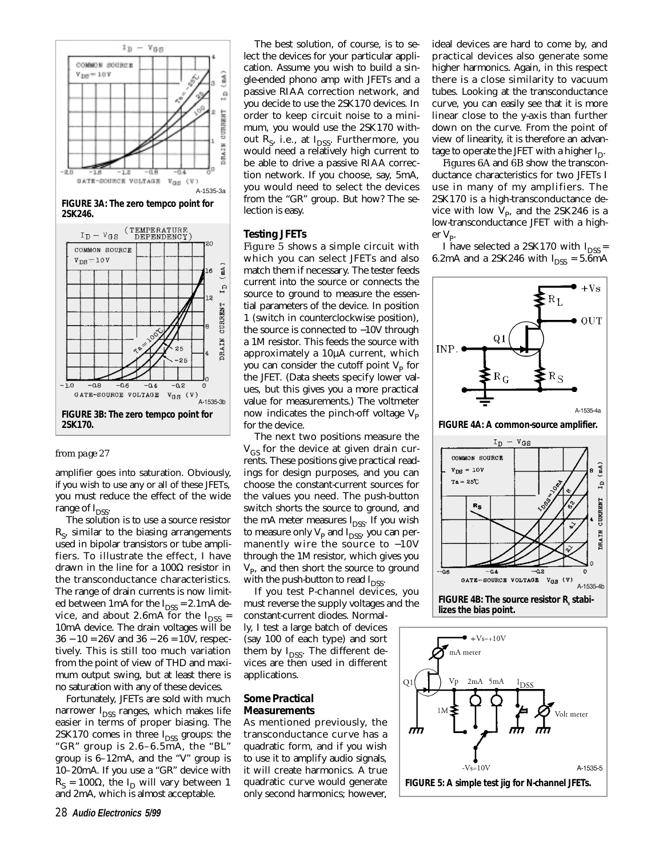

**FIGURE 3A: The zero tempco point for 2SK246.**



#### *from page 27*

amplifier goes into saturation. Obviously, if you wish to use any or all of these JFETs, you must reduce the effect of the wide range of I<sub>DSS</sub>.

The solution is to use a source resistor  $R<sub>s</sub>$ , similar to the biasing arrangements used in bipolar transistors or tube amplifiers. To illustrate the effect, I have drawn in the line for a 100Ω resistor in the transconductance characteristics. The range of drain currents is now limited between 1mA for the  $I_{DSS} = 2.1$ mA device, and about 2.6mA for the  $I_{DSS}$  = 10mA device. The drain voltages will be 36 − 10 = 26V and 36 − 26 = 10V, respectively. This is still too much variation from the point of view of THD and maximum output swing, but at least there is no saturation with any of these devices.

Fortunately, JFETs are sold with much narrower I<sub>DSS</sub> ranges, which makes life easier in terms of proper biasing. The 2SK170 comes in three  $I_{DSS}$  groups: the "GR" group is 2.6–6.5mA, the "BL" group is 6–12mA, and the "V" group is 10–20mA. If you use a "GR" device with  $R<sub>S</sub>$  = 100Ω, the I<sub>D</sub> will vary between 1 and 2mA, which is almost acceptable.

The best solution, of course, is to select the devices for your particular application. Assume you wish to build a single-ended phono amp with JFETs and a passive RIAA correction network, and you decide to use the 2SK170 devices. In order to keep circuit noise to a minimum, you would use the 2SK170 without  $R_{S}$ , i.e., at  $I_{DSS}$ . Furthermore, you would need a relatively high current to be able to drive a passive RIAA correction network. If you choose, say, 5mA, you would need to select the devices from the "GR" group. But how? The selection is easy.

#### *Testing JFETs*

*Figure 5* shows a simple circuit with which you can select JFETs and also match them if necessary. The tester feeds current into the source or connects the source to ground to measure the essential parameters of the device. In position 1 (switch in counterclockwise position), the source is connected to −10V through a 1M resistor. This feeds the source with approximately a 10µA current, which you can consider the cutoff point  $V<sub>p</sub>$  for the JFET. (Data sheets specify lower values, but this gives you a more practical value for measurements.) The voltmeter now indicates the pinch-off voltage  $V_p$ for the device.

The next two positions measure the  $V_{GS}$  for the device at given drain currents. These positions give practical readings for design purposes, and you can choose the constant-current sources for the values you need. The push-button switch shorts the source to ground, and the mA meter measures  $I_{DSS}$ . If you wish to measure only  $V_{p}$  and  $I_{DSS}^{-1}$ , you can permanently wire the source to −10V through the 1M resistor, which gives you  $V_{\text{p}}$ , and then short the source to ground with the push-button to read  $I_{DSS}$ .

If you test P-channel devices, you must reverse the supply voltages and the constant-current diodes. Normally, I test a large batch of devices (say 100 of each type) and sort them by  $I_{DSS}$ . The different devices are then used in different applications.

#### *Some Practical Measurements*

As mentioned previously, the transconductance curve has a quadratic form, and if you wish to use it to amplify audio signals, it will create harmonics. A true quadratic curve would generate only second harmonics; however,

ideal devices are hard to come by, and practical devices also generate some higher harmonics. Again, in this respect there is a close similarity to vacuum tubes. Looking at the transconductance curve, you can easily see that it is more linear close to the y-axis than further down on the curve. From the point of view of linearity, it is therefore an advantage to operate the JFET with a higher  $I_D$ .

*Figures 6A* and *6B* show the transconductance characteristics for two JFETs I use in many of my amplifiers. The 2SK170 is a high-transconductance device with low  $V_{p}$ , and the 2SK246 is a low-transconductance JFET with a higher  $V_p$ .

I have selected a 2SK170 with  $I_{DSS}$  = 6.2mA and a 2SK246 with  $I_{DSS} = 5.6$ mA



**FIGURE 4A: A common-source amplifier.**



**lizes the bias point.**

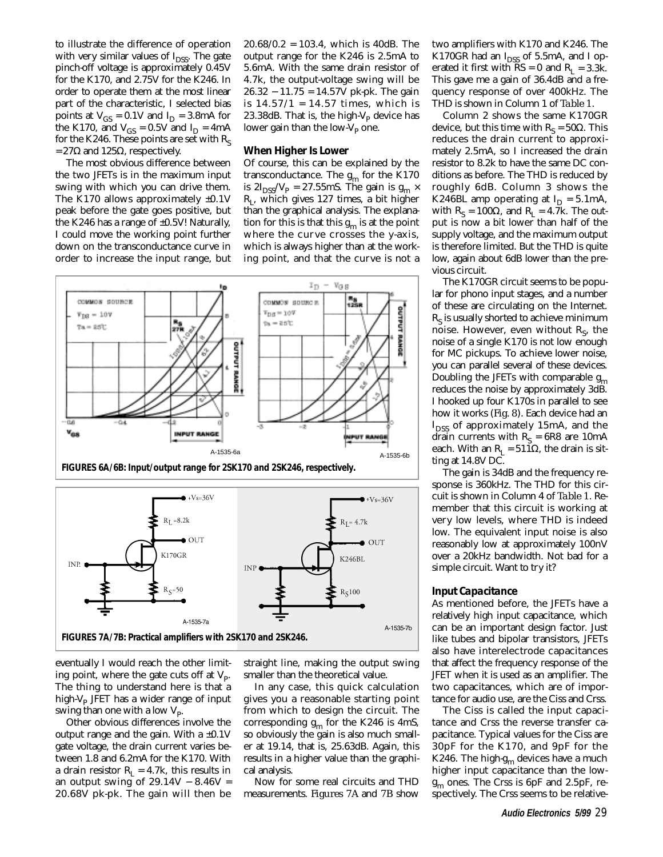to illustrate the difference of operation with very similar values of  $I<sub>nsc</sub>$ . The gate pinch-off voltage is approximately 0.45V for the K170, and 2.75V for the K246. In order to operate them at the most linear part of the characteristic, I selected bias points at  $V_{GS} = 0.1V$  and  $I_D = 3.8mA$  for the K170, and  $V_{GS} = 0.5V$  and  $I_D = 4mA$ for the K246. These points are set with  $R_s$  $= 27Ω$  and 125Ω, respectively.

The most obvious difference between the two JFETs is in the maximum input swing with which you can drive them. The K170 allows approximately  $\pm 0.1$ V peak before the gate goes positive, but the K246 has a range of  $\pm$ 0.5V! Naturally, I could move the working point further down on the transconductance curve in order to increase the input range, but

20.68/0.2 = 103.4, which is 40dB. The output range for the K246 is 2.5mA to 5.6mA. With the same drain resistor of 4.7k, the output-voltage swing will be 26.32 − 11.75 = 14.57V pk-pk. The gain is  $14.57/1 = 14.57$  times, which is 23.38dB. That is, the high- $V<sub>p</sub>$  device has lower gain than the low- $V_p$  one.

#### *When Higher Is Lower*

Of course, this can be explained by the transconductance. The  $g_m$  for the K170 is  $2I_{DSS}/V_p = 27.55$ mS. The gain is  $g_m \times$  $R<sub>L</sub>$ , which gives 127 times, a bit higher than the graphical analysis. The explanation for this is that this  $g_m$  is at the point where the curve crosses the y-axis, which is always higher than at the working point, and that the curve is not a



**FIGURES 6A/6B: Input/output range for 2SK170 and 2SK246, respectively.**



eventually I would reach the other limiting point, where the gate cuts off at  $V_{\rm p}$ . The thing to understand here is that a high- $V<sub>p</sub>$  JFET has a wider range of input swing than one with a low  $V_{\rm p}$ .

Other obvious differences involve the output range and the gain. With a ±0.1V gate voltage, the drain current varies between 1.8 and 6.2mA for the K170. With a drain resistor  $R<sub>L</sub> = 4.7k$ , this results in an output swing of  $29.14V - 8.46V =$ 20.68V pk-pk. The gain will then be

straight line, making the output swing smaller than the theoretical value.

In any case, this quick calculation gives you a reasonable starting point from which to design the circuit. The corresponding  $g_m$  for the K246 is 4mS, so obviously the gain is also much smaller at 19.14, that is, 25.63dB. Again, this results in a higher value than the graphical analysis.

Now for some real circuits and THD measurements. *Figures 7A* and *7B* show two amplifiers with K170 and K246. The K170GR had an  $I_{DSS}$  of 5.5mA, and I operated it first with  $\overline{RS} = 0$  and  $R_1 = 3.3k$ . This gave me a gain of 36.4dB and a frequency response of over 400kHz. The THD is shown in Column 1 of *Table 1*.

Column 2 shows the same K170GR device, but this time with  $R_s = 50Ω$ . This reduces the drain current to approximately 2.5mA, so I increased the drain resistor to 8.2k to have the same DC conditions as before. The THD is reduced by roughly 6dB. Column 3 shows the K246BL amp operating at  $I_D = 5.1 \text{mA}$ , with R<sub>S</sub> = 100Ω, and R<sub>L</sub> = 4.7k. The output is now a bit lower than half of the supply voltage, and the maximum output is therefore limited. But the THD is quite low, again about 6dB lower than the previous circuit.

The K170GR circuit seems to be popular for phono input stages, and a number of these are circulating on the Internet.  $R<sub>s</sub>$  is usually shorted to achieve minimum noise. However, even without  $R_s$ , the noise of a single K170 is not low enough for MC pickups. To achieve lower noise, you can parallel several of these devices. Doubling the JFETs with comparable  $g_m$ reduces the noise by approximately 3dB. I hooked up four K170s in parallel to see how it works (*Fig. 8*). Each device had an I<sub>DSS</sub> of approximately 15mA, and the drain currents with  $R<sub>S</sub> = 6R8$  are 10mA each. With an R<sub>L</sub> = 511 $\Omega$ , the drain is sitting at 14.8V DC.

The gain is 34dB and the frequency response is 360kHz. The THD for this circuit is shown in Column 4 of *Table 1*. Remember that this circuit is working at very low levels, where THD is indeed low. The equivalent input noise is also reasonably low at approximately 100nV over a 20kHz bandwidth. Not bad for a simple circuit. Want to try it?

### *Input Capacitance*

As mentioned before, the JFETs have a relatively high input capacitance, which can be an important design factor. Just like tubes and bipolar transistors, JFETs also have interelectrode capacitances that affect the frequency response of the JFET when it is used as an amplifier. The two capacitances, which are of importance for audio use, are the Ciss and Crss.

The Ciss is called the input capacitance and Crss the reverse transfer capacitance. Typical values for the Ciss are 30pF for the K170, and 9pF for the K246. The high- $g<sub>m</sub>$  devices have a much higher input capacitance than the lowg<sub>m</sub> ones. The Crss is 6pF and 2.5pF, respectively. The Crss seems to be relative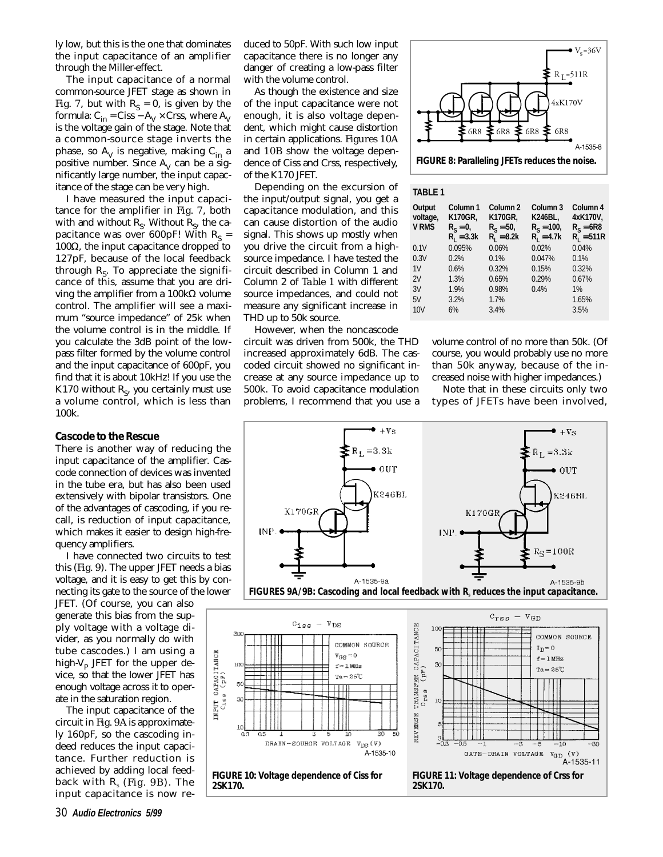ly low, but this is the one that dominates the input capacitance of an amplifier through the Miller-effect.

The input capacitance of a normal common-source JFET stage as shown in *Fig. 7,* but with  $R_s = 0$ , is given by the formula:  $C_{in} = C$ iss – A<sub>V</sub> × Crss, where A<sub>V</sub> is the voltage gain of the stage. Note that a common-source stage inverts the phase, so  $A_V$  is negative, making  $C_{in}$  a positive number. Since  $A_V$  can be a significantly large number, the input capacitance of the stage can be very high.

I have measured the input capacitance for the amplifier in *Fig. 7*, both with and without  $R_S$ . Without  $R_{S'}$ , the capacitance was over 600pF! With  $R_s =$ 100Ω, the input capacitance dropped to 127pF, because of the local feedback through  $R_s$ . To appreciate the significance of this, assume that you are driving the amplifier from a 100kΩ volume control. The amplifier will see a maximum "source impedance" of 25k when the volume control is in the middle. If you calculate the 3dB point of the lowpass filter formed by the volume control and the input capacitance of 600pF, you find that it is about 10kHz! If you use the K170 without  $R_{s}$ , you certainly must use a volume control, which is less than 100k.

#### *Cascode to the Rescue*

There is another way of reducing the input capacitance of the amplifier. Cascode connection of devices was invented in the tube era, but has also been used extensively with bipolar transistors. One of the advantages of cascoding, if you recall, is reduction of input capacitance, which makes it easier to design high-frequency amplifiers.

I have connected two circuits to test this (*Fig. 9*). The upper JFET needs a bias voltage, and it is easy to get this by connecting its gate to the source of the lower

JFET. (Of course, you can also generate this bias from the supply voltage with a voltage divider, as you normally do with tube cascodes.) I am using a high- $V<sub>p</sub>$  JFET for the upper device, so that the lower JFET has enough voltage across it to operate in the saturation region.

The input capacitance of the circuit in *Fig. 9A* is approximately 160pF, so the cascoding indeed reduces the input capacitance. Further reduction is achieved by adding local feedback with R<sub>s</sub> (*Fig. 9B*). The input capacitance is now reduced to 50pF. With such low input capacitance there is no longer any danger of creating a low-pass filter with the volume control.

As though the existence and size of the input capacitance were not enough, it is also voltage dependent, which might cause distortion in certain applications. *Figures 10A* and *10B* show the voltage dependence of Ciss and Crss, respectively, of the K170 JFET.

Depending on the excursion of the input/output signal, you get a capacitance modulation, and this can cause distortion of the audio signal. This shows up mostly when you drive the circuit from a highsource impedance. I have tested the circuit described in Column 1 and Column 2 of *Table 1* with different source impedances, and could not measure any significant increase in THD up to 50k source.

However, when the noncascode circuit was driven from 500k, the THD increased approximately 6dB. The cascoded circuit showed no significant increase at any source impedance up to 500k. To avoid capacitance modulation problems, I recommend that you use a



| <b>TABLE 1</b>                     |                                                  |                                                                              |                                                     |                                                     |
|------------------------------------|--------------------------------------------------|------------------------------------------------------------------------------|-----------------------------------------------------|-----------------------------------------------------|
| Output<br>voltage,<br><b>V RMS</b> | Column 1<br>K170GR,<br>$R_c = 0$<br>$R_1 = 3.3k$ | Column <sub>2</sub><br><b>K170GR,</b><br>$R_{\rm c} = 50,$<br>$R_{1} = 8.2k$ | Column 3<br>K246BL,<br>$R_c = 100,$<br>$R_1 = 4.7k$ | Column 4<br>4xK170V,<br>$R_S = 6R8$<br>$R_1 = 511R$ |
| 0.1V                               | 0.095%                                           | 0.06%                                                                        | 0.02%                                               | 0.04%                                               |
| 0.3V                               | 0.2%                                             | 0.1%                                                                         | 0.047%                                              | 0.1%                                                |
| 1V                                 | 0.6%                                             | 0.32%                                                                        | 0.15%                                               | 0.32%                                               |
| 2V                                 | 1.3%                                             | 0.65%                                                                        | 0.29%                                               | 0.67%                                               |
| 3V                                 | 1.9%                                             | 0.98%                                                                        | 0.4%                                                | 1%                                                  |
| 5V                                 | 3.2%                                             | 1.7%                                                                         |                                                     | 1.65%                                               |
| 10V                                | 6%                                               | 3.4%                                                                         |                                                     | 3.5%                                                |

volume control of no more than 50k. (Of course, you would probably use no more than 50k anyway, because of the increased noise with higher impedances.)

Note that in these circuits only two types of JFETs have been involved,